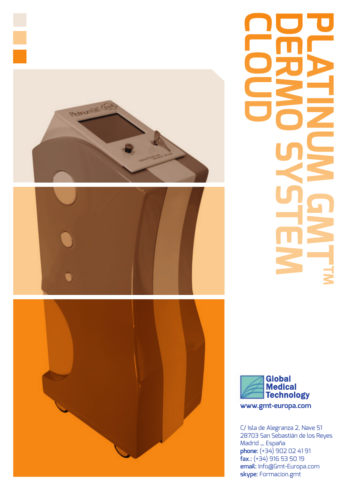

# **Example 2000 CLOUD GMTHM GMTHM**



C/ Isla de Alegranza 2, Nave 51 28703 San Sebastián de los Reyes Madrid \_ España **phone:** (+34) 902 02 41 91 **fax.:** (+34) 916 53 50 19 **email:** Info@Gmt-Europa.com **skype:** Formacion.gmt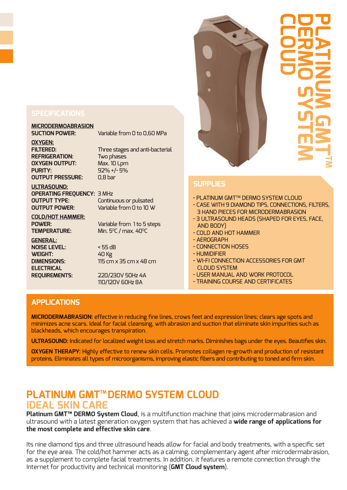# **MICRODERMOABRASION**

Variable from 0 to 0,60 MPa

**OXYGEN: FILTERED:** Three stages and anti-bacterial **REFRIGERATION:** Two phases **OXYGEN OUTPUT:** Max. 10 Lpm **PURITY:** 92% +/- 5% **OUTPUT PRESSURE:** 0,8 bar

## **ULTRASOUND: OPERATING FREQUENCY:** 3 MHz **OUTPUT TYPE:** Continuous or pulsated

**OUTPUT POWER:** Variable from 0 to 10 W

**COLD/HOT HAMMER: POWER:** Variable from 1 to 5 steps **TEMPERATURE:** Min. 5°C / max. 40°C

**GENERAL: NOISE LEVEL:** < 55 dB **WEIGHT:** 40 Kg **ELECTRICAL** 

**DIMENSIONS:** 115 cm x 35 cm x 48 cm

**REQUIREMENTS:** 220/230V 50Hz 4A 110/120V 60Hz 8A

# **PLATINUM GMTTM CLOUD DERMO SYSTEM**

## **SUPPLIES**

- PLATINUM GMTTM DERMO SYSTEM CLOUD
- CASE WITH 9 DIAMOND TIPS, CONNECTIONS, FILTERS, 3 HAND PIECES FOR MICRODERMABRASION
- 3 ULTRASOUND HEADS (SHAPED FOR EYES, FACE, AND BODY)
- COLD AND HOT HAMMER
- AEROGRAPH
- CONNECTION HOSES
- HUMIDIFIER
- WI-FI CONNECTION ACCESSORIES FOR GMT CLOUD SYSTEM
- USER MANUAL AND WORK PROTOCOL
- TRAINING COURSE AND CERTIFICATES

## **APPLICATIONS**

**MICRODERMABRASION:** effective in reducing fine lines, crows feet and expression lines; clears age spots and minimizes acne scars. Ideal for facial cleansing, with abrasion and suction that eliminate skin impurities such as blackheads, which encourages transpiration.

**ULTRASOUND:** Indicated for localized weight loss and stretch marks. Diminishes bags under the eyes. Beautifies skin.

**OXYGEN THERAPY:** Highly effective to renew skin cells. Promotes collagen re-growth and production of resistant proteins. Eliminates all types of microorganisms, improving elastic fibers and contributing to toned and firm skin.

## **PLATINUM GMT™DERMO SYSTEM CLOUD IDEAL SKIN CARE**

**Platinum GMT™ DERMO System Cloud**, is a multifunction machine that joins microdermabrasion and ultrasound with a latest generation oxygen system that has achieved a **wide range of applications for the most complete and effective skin care**.

Its nine diamond tips and three ultrasound heads allow for facial and body treatments, with a specific set for the eye area. The cold/hot hammer acts as a calming, complementary agent after microdermabrasion, as a supplement to complete facial treatments. In addition, it features a remote connection through the Internet for productivity and technical monitoring (**GMT Cloud system**).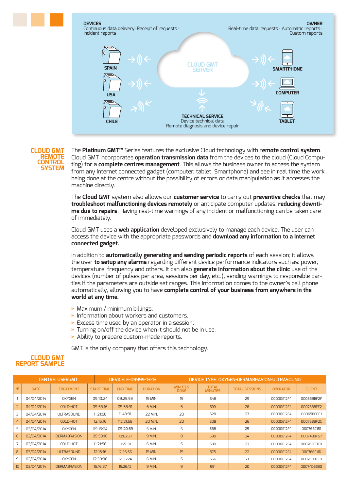

## **CLOUD GMT REMOTE CONTROL SYSTEM**

The **Platinum GMT™** Series features the exclusive Cloud technology with r**emote control system**. Cloud GMT incorporates **operation transmission data** from the devices to the cloud (Cloud Computing) for a **complete centres management**. This allows the business owner to access the system from any Internet connected gadget (computer, tablet, Smartphone) and see in real time the work being done at the centre without the possibility of errors or data manipulation as it accesses the machine directly.

The **Cloud GMT** system also allows our **customer service** to carry out **preventive checks** that may **troubleshoot malfunctioning devices remotely** or anticipate computer updates, **reducing downtime due to repairs**. Having real-time warnings of any incident or malfunctioning can be taken care of immediately.

Cloud GMT uses a **web application** developed exclusively to manage each device. The user can access the device with the appropriate passwords and **download any information to a Internet connected gadget.**

In addition to **automatically generating and sending periodic reports** of each session; it allows the user **to setup any alarms** regarding different device performance indicators such as: power, temperature, frequency and others. It can also **generate information about the clinic** use of the devices (number of pulses per area, sessions per day, etc.), sending warnings to responsible parties if the parameters are outside set ranges. This information comes to the owner's cell phone automatically, allowing you to have **complete control of your business from anywhere in the world at any time.**

- **>** Maximum / minimum billings.
- **>** Information about workers and customers.
- **>** Excess time used by an operator in a session.
- **>** Turning on/off the device when it should not be in use.
- **>** Ability to prepare custom-made reports.

GMT is the only company that offers this technology.

## **CLOUD GMT REPORT SAMPLE**

|                |             | <b>CENTRE: USERGMT</b> |                   | DEVICE: E-09999-13-13 |                 |                               | DEVICE TYPE: OXYGEN-DERMABRASION-ULTRASOUND |                       |                 |               |  |
|----------------|-------------|------------------------|-------------------|-----------------------|-----------------|-------------------------------|---------------------------------------------|-----------------------|-----------------|---------------|--|
| N <sup>2</sup> | <b>DATE</b> | <b>TREATMENT</b>       | <b>START TIME</b> | <b>END TIME</b>       | <b>DURATION</b> | <b>MINUTES</b><br><b>DONE</b> | <b>TOTAL</b><br><b>MINUTES</b>              | <b>TOTAL SESSIONS</b> | <b>OPERATOR</b> | <b>CLIENT</b> |  |
|                | 04/04/2014  | <b>OXYGEN</b>          | 09:10:24          | 09:25:59              | 15 MIN.         | 15                            | 648                                         | 29                    | 00000E12F4      | 000588BF2F    |  |
| $\overline{2}$ | 04/04/2014  | COLD-HOT               | 09:53:16          | 09:58:31              | 6 MIN.          | 5                             | 633                                         | 28                    | 00000E12F4      | 000768BFE2    |  |
| $\exists$      | 04/04/2014  | <b>ULTRASOUND</b>      | 11:21:58          | 11:43:31              | 22 MIN.         | 20                            | 628                                         | 27                    | 00000E12F4      | 000658C0C1    |  |
| 4              | 04/04/2014  | <b>COLD-HOT</b>        | 12:15:16          | 112:21:56             | <b>20 MIN.</b>  | 20                            | 608                                         | 26                    | 00000E12F4      | 000768BF2C    |  |
| 5              | 03/04/2014  | <b>OXYGEN</b>          | 09:15:24          | 09:20:59              | 5 MIN.          | 5                             | 588                                         | 25                    | 00000E12F4      | 000768C151    |  |
| 6              | 03/04/2014  | <b>DERMABRASION</b>    | 09:53:16          | 10:02:31              | 9 MIN.          | 8                             | 580                                         | 24                    | 00000E12F4      | 000748BF57    |  |
|                | 03/04/2014  | COLD-HOT               | 11:21:58          | 11:27:31              | 6 MIN.          | 5                             | 580                                         | 23                    | 00000E12F4      | 000768C0C0    |  |
| 8              | 03/04/2014  | ULTRASOUND             | 12:15:16          | 12:36:56              | 19 MIN.         | 19                            | 575                                         | 22                    | 00000E12F4      | 000768C11D    |  |
| 9              | 03/04/2014  | <b>OXYGEN</b>          | 12:30:38          | 12:36:24              | 6 MIN.          | 5                             | 556                                         | 21                    | 00000E12F4      | 000768BFFD    |  |
| 10             | 03/04/2014  | <b>DERMABRASION</b>    | 15:16:37          | 15:26:12              | 9 MIN.          | $\overline{9}$                | 551                                         | 20                    | 00000E12F4      | 00074D5B80    |  |